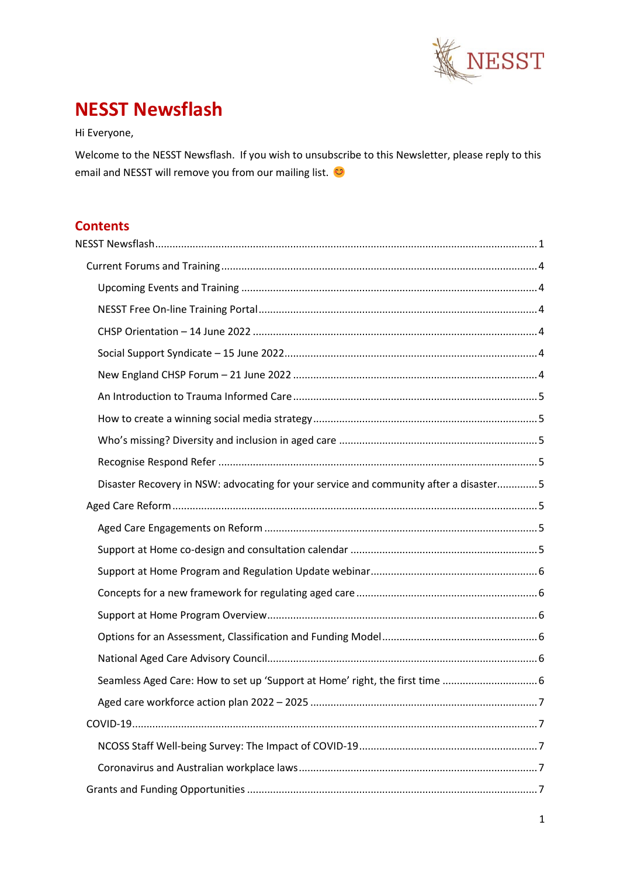

# <span id="page-0-0"></span>**NESST Newsflash**

Hi Everyone,

Welcome to the NESST Newsflash. If you wish to unsubscribe to this Newsletter, please reply to this email and NESST will remove you from our mailing list.

# **Contents**

| Disaster Recovery in NSW: advocating for your service and community after a disaster5 |  |
|---------------------------------------------------------------------------------------|--|
|                                                                                       |  |
|                                                                                       |  |
|                                                                                       |  |
|                                                                                       |  |
|                                                                                       |  |
|                                                                                       |  |
|                                                                                       |  |
|                                                                                       |  |
|                                                                                       |  |
|                                                                                       |  |
|                                                                                       |  |
|                                                                                       |  |
|                                                                                       |  |
|                                                                                       |  |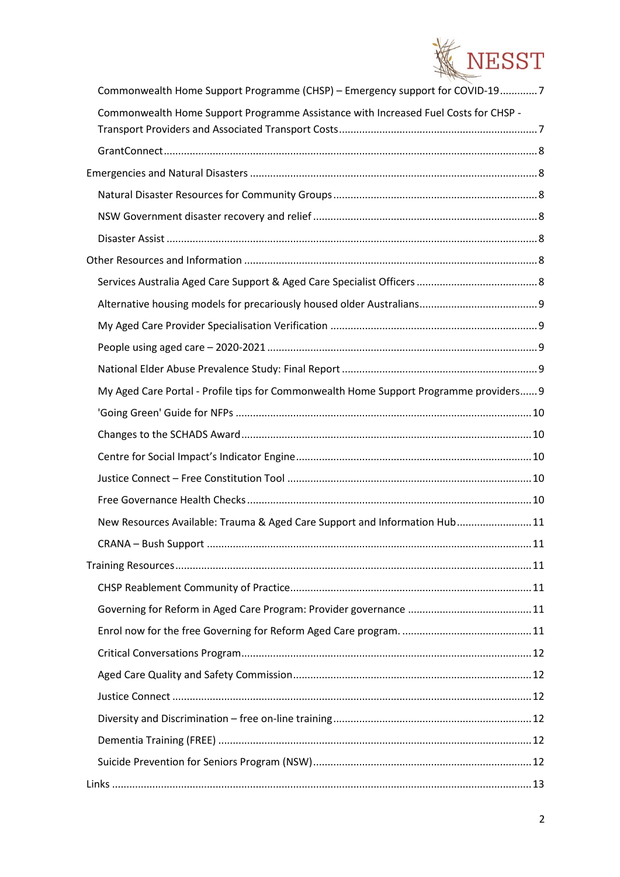

| Commonwealth Home Support Programme (CHSP) - Emergency support for COVID-197           |  |
|----------------------------------------------------------------------------------------|--|
| Commonwealth Home Support Programme Assistance with Increased Fuel Costs for CHSP -    |  |
|                                                                                        |  |
|                                                                                        |  |
|                                                                                        |  |
|                                                                                        |  |
|                                                                                        |  |
|                                                                                        |  |
|                                                                                        |  |
|                                                                                        |  |
|                                                                                        |  |
|                                                                                        |  |
|                                                                                        |  |
| My Aged Care Portal - Profile tips for Commonwealth Home Support Programme providers 9 |  |
|                                                                                        |  |
|                                                                                        |  |
|                                                                                        |  |
|                                                                                        |  |
|                                                                                        |  |
| New Resources Available: Trauma & Aged Care Support and Information Hub11              |  |
|                                                                                        |  |
|                                                                                        |  |
|                                                                                        |  |
|                                                                                        |  |
|                                                                                        |  |
|                                                                                        |  |
|                                                                                        |  |
|                                                                                        |  |
|                                                                                        |  |
|                                                                                        |  |
|                                                                                        |  |
|                                                                                        |  |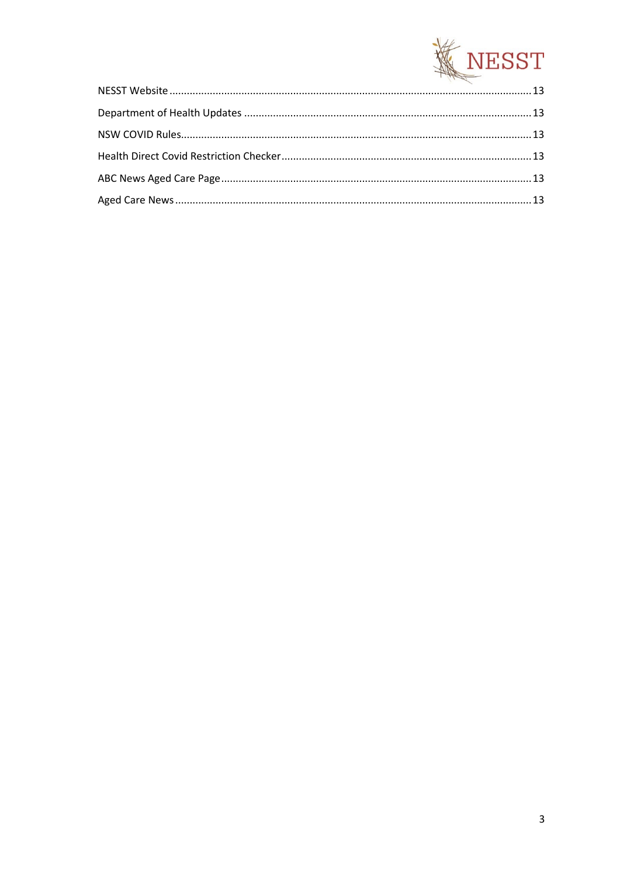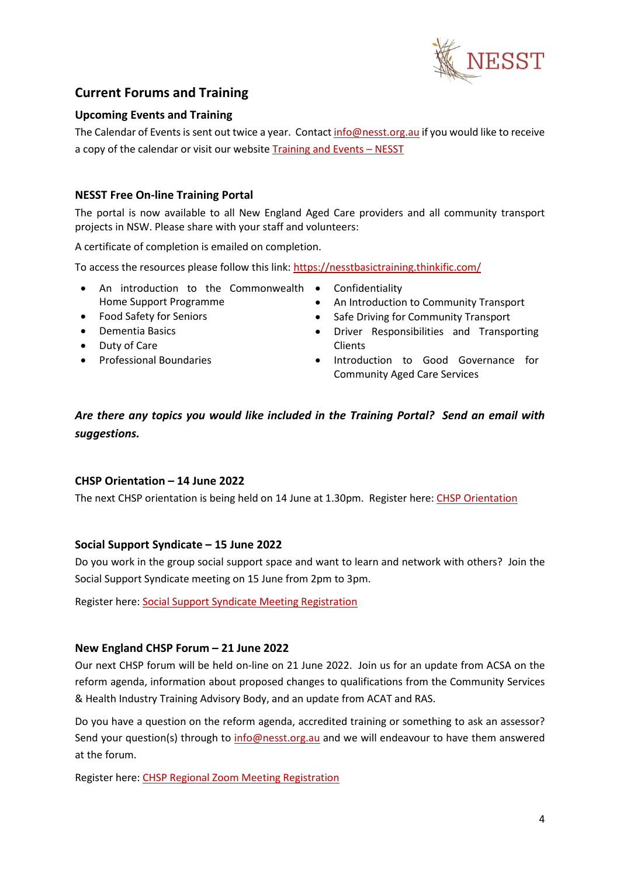

# <span id="page-3-0"></span>**Current Forums and Training**

# <span id="page-3-1"></span>**Upcoming Events and Training**

The Calendar of Events is sent out twice a year. Contac[t info@nesst.org.au](mailto:info@nesst.org.au) if you would like to receive a copy of the calendar or visit our websit[e Training and Events –](https://www.nesst.org.au/training-and-events/) NESST

# <span id="page-3-2"></span>**NESST Free On-line Training Portal**

The portal is now available to all New England Aged Care providers and all community transport projects in NSW. Please share with your staff and volunteers:

A certificate of completion is emailed on completion.

To access the resources please follow this link:<https://nesstbasictraining.thinkific.com/>

- An introduction to the Commonwealth Confidentiality Home Support Programme
- Food Safety for Seniors
- Dementia Basics
- Duty of Care
- Professional Boundaries
- 
- An Introduction to Community Transport
- Safe Driving for Community Transport
- Driver Responsibilities and Transporting Clients
- Introduction to Good Governance for Community Aged Care Services

# *Are there any topics you would like included in the Training Portal? Send an email with suggestions.*

# <span id="page-3-3"></span>**CHSP Orientation – 14 June 2022**

The next CHSP orientation is being held on 14 June at 1.30pm. Register here: [CHSP Orientation](https://us02web.zoom.us/meeting/register/tZItde2srzooHtAOtHr5mHklvIz2uJ5OfUbQ)

# <span id="page-3-4"></span>**Social Support Syndicate – 15 June 2022**

Do you work in the group social support space and want to learn and network with others? Join the Social Support Syndicate meeting on 15 June from 2pm to 3pm.

Register here: [Social Support Syndicate Meeting Registration](https://us02web.zoom.us/meeting/register/tZcrfuutpzgiE9SbZCdPKEagPk0_2MSR5rKb)

# <span id="page-3-5"></span>**New England CHSP Forum – 21 June 2022**

Our next CHSP forum will be held on-line on 21 June 2022. Join us for an update from ACSA on the reform agenda, information about proposed changes to qualifications from the Community Services & Health Industry Training Advisory Body, and an update from ACAT and RAS.

Do you have a question on the reform agenda, accredited training or something to ask an assessor? Send your question(s) through to [info@nesst.org.au](mailto:info@nesst.org.au) and we will endeavour to have them answered at the forum.

Register here: [CHSP Regional Zoom Meeting Registration](https://us02web.zoom.us/meeting/register/tZwrdumrrT8rGtRzV03io6Ew-gsVS0P4DpDd)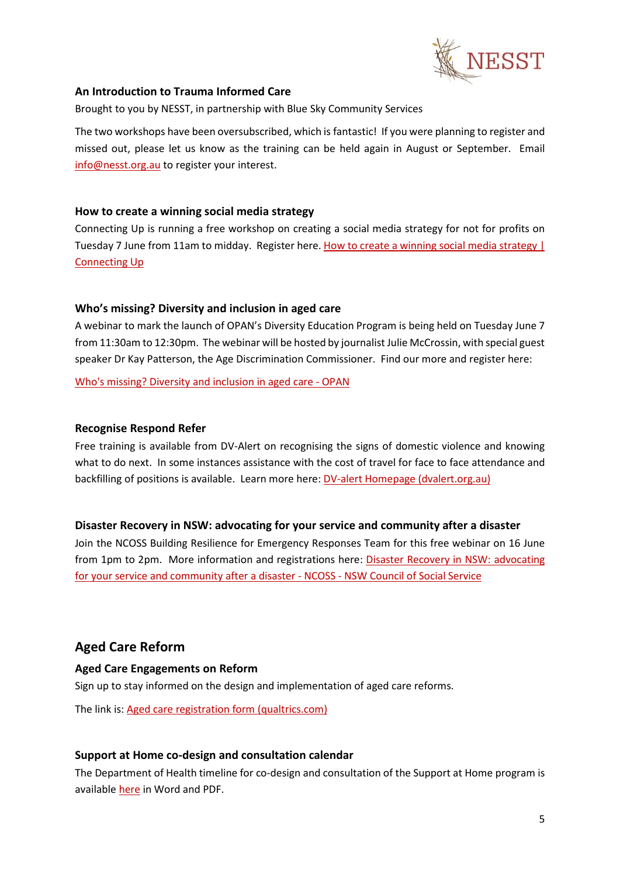

#### <span id="page-4-0"></span>**An Introduction to Trauma Informed Care**

Brought to you by NESST, in partnership with Blue Sky Community Services

The two workshops have been oversubscribed, which is fantastic! If you were planning to register and missed out, please let us know as the training can be held again in August or September. Email [info@nesst.org.au](mailto:info@nesst.org.au) to register your interest.

#### <span id="page-4-1"></span>**How to create a winning social media strategy**

Connecting Up is running a free workshop on creating a social media strategy for not for profits on Tuesday 7 June from 11am to midday. Register here. [How to create a winning social media strategy |](https://www.connectingup.org/webinar/581142-how-create-winning-social-media-strategy?utm_source=CommunityConnective&utm_campaign=4d7c70001b-EMAIL_CAMPAIGN_2022_05_24_11_11&utm_medium=email&utm_term=0_bb54714f9e-4d7c70001b-586655899)  [Connecting Up](https://www.connectingup.org/webinar/581142-how-create-winning-social-media-strategy?utm_source=CommunityConnective&utm_campaign=4d7c70001b-EMAIL_CAMPAIGN_2022_05_24_11_11&utm_medium=email&utm_term=0_bb54714f9e-4d7c70001b-586655899)

#### <span id="page-4-2"></span>**Who's missing? Diversity and inclusion in aged care**

A webinar to mark the launch of OPAN's Diversity Education Program is being held on Tuesday June 7 from 11:30am to 12:30pm. The webinar will be hosted by journalist Julie McCrossin, with special guest speaker Dr Kay Patterson, the Age Discrimination Commissioner. Find our more and register here:

[Who's missing? Diversity and inclusion in aged care -](https://opan.org.au/events/diversity-agedcare/) OPAN

#### <span id="page-4-3"></span>**Recognise Respond Refer**

Free training is available from DV-Alert on recognising the signs of domestic violence and knowing what to do next. In some instances assistance with the cost of travel for face to face attendance and backfilling of positions is available. Learn more here[: DV-alert Homepage \(dvalert.org.au\)](https://www.dvalert.org.au/)

# <span id="page-4-4"></span>**Disaster Recovery in NSW: advocating for your service and community after a disaster**

Join the NCOSS Building Resilience for Emergency Responses Team for this free webinar on 16 June from 1pm to 2pm. More information and registrations here: [Disaster Recovery in NSW: advocating](https://www.ncoss.org.au/event/disaster-recovery-in-nsw/?utm_source=CommunityConnective&utm_campaign=4d7c70001b-EMAIL_CAMPAIGN_2022_05_24_11_11&utm_medium=email&utm_term=0_bb54714f9e-4d7c70001b-586665351)  [for your service and community after a disaster -](https://www.ncoss.org.au/event/disaster-recovery-in-nsw/?utm_source=CommunityConnective&utm_campaign=4d7c70001b-EMAIL_CAMPAIGN_2022_05_24_11_11&utm_medium=email&utm_term=0_bb54714f9e-4d7c70001b-586665351) NCOSS - NSW Council of Social Service

# <span id="page-4-5"></span>**Aged Care Reform**

#### <span id="page-4-6"></span>**Aged Care Engagements on Reform**

Sign up to stay informed on the design and implementation of aged care reforms.

The link is[: Aged care registration form \(qualtrics.com\)](https://healthau.au1.qualtrics.com/jfe/form/SV_2tWXoF3uTem0tdc)

#### <span id="page-4-7"></span>**Support at Home co-design and consultation calendar**

The Department of Health timeline for co-design and consultation of the Support at Home program is available [here](https://www.health.gov.au/resources/publications/support-at-home-co-design-and-consultation-calendar) in Word and PDF.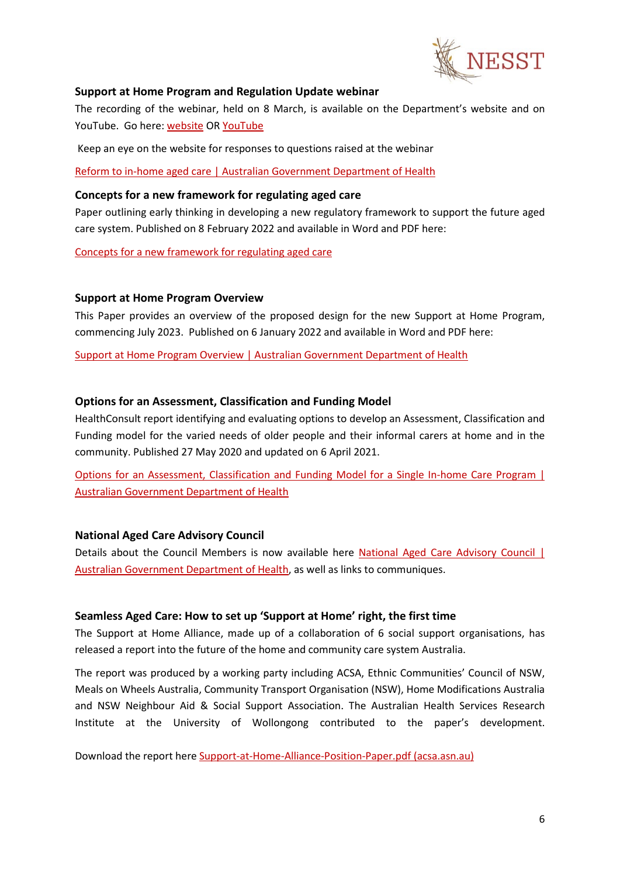

#### <span id="page-5-0"></span>**Support at Home Program and Regulation Update webinar**

The recording of the webinar, held on 8 March, is available on the Department's website and on YouTube. Go here: [website](https://www.health.gov.au/resources/webinars/support-at-home-program-and-regulation-update-webinar) O[R YouTube](https://www.youtube.com/watch?v=e_lkNWAj1b4)

Keep an eye on the website for responses to questions raised at the webinar

[Reform to in-home aged care | Australian Government Department of Health](https://www.health.gov.au/health-topics/aged-care/aged-care-reforms-and-reviews/reform-to-in-home-aged-care)

#### <span id="page-5-1"></span>**Concepts for a new framework for regulating aged care**

Paper outlining early thinking in developing a new regulatory framework to support the future aged care system. Published on 8 February 2022 and available in Word and PDF here:

[Concepts for a new framework for regulating aged care](https://www.health.gov.au/news/release-of-the-concept-paper-concepts-for-a-new-framework-for-regulating-aged-care)

#### <span id="page-5-2"></span>**Support at Home Program Overview**

This Paper provides an overview of the proposed design for the new Support at Home Program, commencing July 2023. Published on 6 January 2022 and available in Word and PDF here:

[Support at Home Program Overview | Australian Government Department of Health](https://www.health.gov.au/resources/publications/support-at-home-program-overview)

# <span id="page-5-3"></span>**Options for an Assessment, Classification and Funding Model**

HealthConsult report identifying and evaluating options to develop an Assessment, Classification and Funding model for the varied needs of older people and their informal carers at home and in the community. Published 27 May 2020 and updated on 6 April 2021.

[Options for an Assessment, Classification and Funding Model for a Single In-home Care Program |](https://www.health.gov.au/resources/publications/options-for-an-assessment-classification-and-funding-model-for-a-single-in-home-care-program)  [Australian Government Department of Health](https://www.health.gov.au/resources/publications/options-for-an-assessment-classification-and-funding-model-for-a-single-in-home-care-program)

# <span id="page-5-4"></span>**National Aged Care Advisory Council**

Details about the Council Members is now available here National Aged Care Advisory Council | [Australian Government Department of Health,](https://www.health.gov.au/committees-and-groups/national-aged-care-advisory-council) as well as links to communiques.

#### <span id="page-5-5"></span>**Seamless Aged Care: How to set up 'Support at Home' right, the first time**

The Support at Home Alliance, made up of a collaboration of 6 social support organisations, has released a report into the future of the home and community care system Australia.

The report was produced by a working party including ACSA, Ethnic Communities' Council of NSW, Meals on Wheels Australia, Community Transport Organisation (NSW), Home Modifications Australia and NSW Neighbour Aid & Social Support Association. The Australian Health Services Research Institute at the University of Wollongong contributed to the paper's development.

Download the report here [Support-at-Home-Alliance-Position-Paper.pdf \(acsa.asn.au\)](https://acsa.asn.au/ACSA/media/General/Support-at-Home-Alliance-Position-Paper.pdf)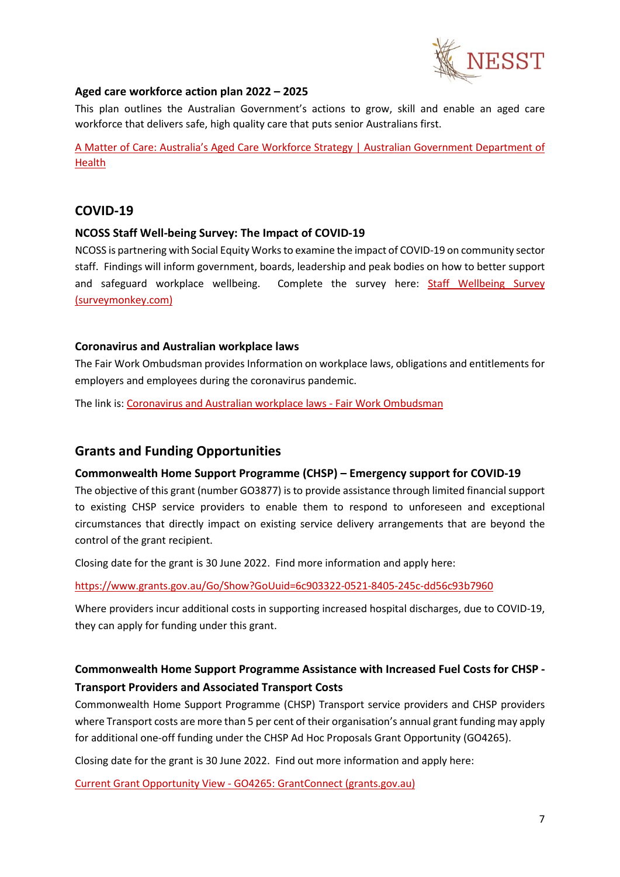

## <span id="page-6-0"></span>**Aged care workforce action plan 2022 – 2025**

This plan outlines the Australian Government's actions to grow, skill and enable an aged care workforce that delivers safe, high quality care that puts senior Australians first.

[A Matter of Care: Australia's Aged Care Workforce Strategy | Australian Government Department of](https://www.health.gov.au/resources/publications/a-matter-of-care-australias-aged-care-workforce-strategy)  [Health](https://www.health.gov.au/resources/publications/a-matter-of-care-australias-aged-care-workforce-strategy)

# <span id="page-6-1"></span>**COVID-19**

#### <span id="page-6-2"></span>**NCOSS Staff Well-being Survey: The Impact of COVID-19**

NCOSS is partnering with Social Equity Worksto examine the impact of COVID-19 on community sector staff. Findings will inform government, boards, leadership and peak bodies on how to better support and safeguard workplace wellbeing. Complete the survey here: [Staff Wellbeing Survey](https://www.surveymonkey.com/r/PQTC2WX)  [\(surveymonkey.com\)](https://www.surveymonkey.com/r/PQTC2WX)

#### <span id="page-6-3"></span>**Coronavirus and Australian workplace laws**

The Fair Work Ombudsman provides Information on workplace laws, obligations and entitlements for employers and employees during the coronavirus pandemic.

The link is[: Coronavirus and Australian workplace laws -](https://coronavirus.fairwork.gov.au/) Fair Work Ombudsman

# <span id="page-6-4"></span>**Grants and Funding Opportunities**

#### <span id="page-6-5"></span>**Commonwealth Home Support Programme (CHSP) – Emergency support for COVID-19**

The objective of this grant (number GO3877) is to provide assistance through limited financial support to existing CHSP service providers to enable them to respond to unforeseen and exceptional circumstances that directly impact on existing service delivery arrangements that are beyond the control of the grant recipient.

Closing date for the grant is 30 June 2022. Find more information and apply here:

<https://www.grants.gov.au/Go/Show?GoUuid=6c903322-0521-8405-245c-dd56c93b7960>

Where providers incur additional costs in supporting increased hospital discharges, due to COVID-19, they can apply for funding under this grant.

# <span id="page-6-6"></span>**Commonwealth Home Support Programme Assistance with Increased Fuel Costs for CHSP - Transport Providers and Associated Transport Costs**

Commonwealth Home Support Programme (CHSP) Transport service providers and CHSP providers where Transport costs are more than 5 per cent of their organisation's annual grant funding may apply for additional one-off funding under the CHSP Ad Hoc Proposals Grant Opportunity (GO4265).

Closing date for the grant is 30 June 2022. Find out more information and apply here:

Current Grant Opportunity View - [GO4265: GrantConnect \(grants.gov.au\)](https://www.grants.gov.au/Go/Show?GoUuid=64c68525-fdd8-bbb7-1826-7ff80a0f88ca)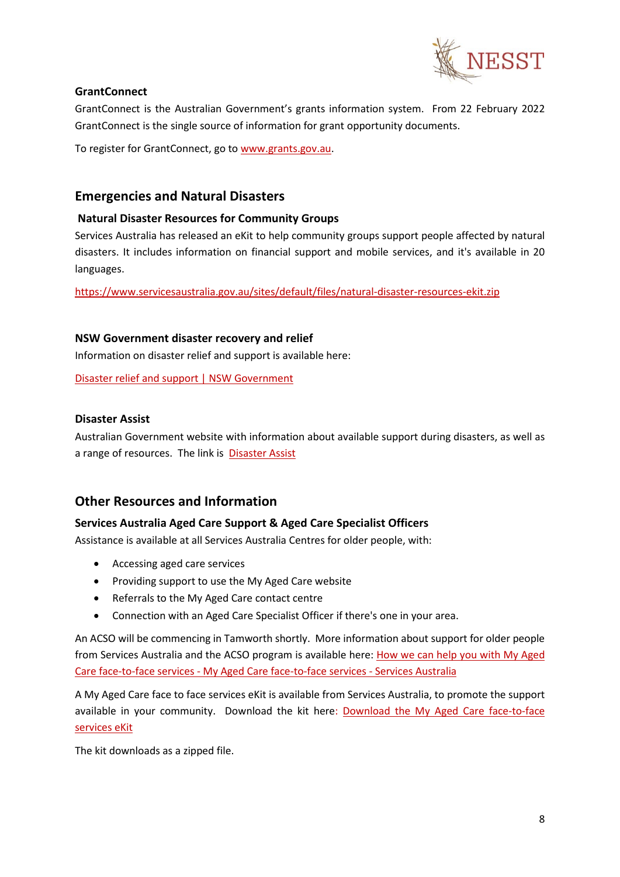

# <span id="page-7-0"></span>**GrantConnect**

GrantConnect is the Australian Government's grants information system. From 22 February 2022 GrantConnect is the single source of information for grant opportunity documents.

To register for GrantConnect, go to [www.grants.gov.au.](http://www.grants.gov.au/)

# <span id="page-7-1"></span>**Emergencies and Natural Disasters**

# <span id="page-7-2"></span>**Natural Disaster Resources for Community Groups**

Services Australia has released an eKit to help community groups support people affected by natural disasters. It includes information on financial support and mobile services, and it's available in 20 languages.

<https://www.servicesaustralia.gov.au/sites/default/files/natural-disaster-resources-ekit.zip>

# <span id="page-7-3"></span>**NSW Government disaster recovery and relief**

Information on disaster relief and support is available here:

[Disaster relief and support | NSW Government](https://www.nsw.gov.au/disaster-recovery/disaster-relief-and-support)

# <span id="page-7-4"></span>**Disaster Assist**

Australian Government website with information about available support during disasters, as well as a range of resources. The link is [Disaster Assist](https://www.disasterassist.gov.au/)

# <span id="page-7-5"></span>**Other Resources and Information**

# <span id="page-7-6"></span>**Services Australia Aged Care Support & Aged Care Specialist Officers**

Assistance is available at all Services Australia Centres for older people, with:

- Accessing aged care services
- Providing support to use the My Aged Care website
- Referrals to the My Aged Care contact centre
- Connection with an Aged Care Specialist Officer if there's one in your area.

An ACSO will be commencing in Tamworth shortly. More information about support for older people from Services Australia and the ACSO program is available here: [How we can help you with My Aged](https://www.servicesaustralia.gov.au/how-we-can-help-you-with-my-aged-care-face-to-face-services?context=55715)  Care face-to-face services - [My Aged Care face-to-face services -](https://www.servicesaustralia.gov.au/how-we-can-help-you-with-my-aged-care-face-to-face-services?context=55715) Services Australia

A My Aged Care face to face services eKit is available from Services Australia, to promote the support available in your community. Download the kit here: Download the My Aged Care face-to-face [services eKit](https://www.servicesaustralia.gov.au/sites/default/files/my-aged-care-face-to-face-services-ekit-230322.zip)

The kit downloads as a zipped file.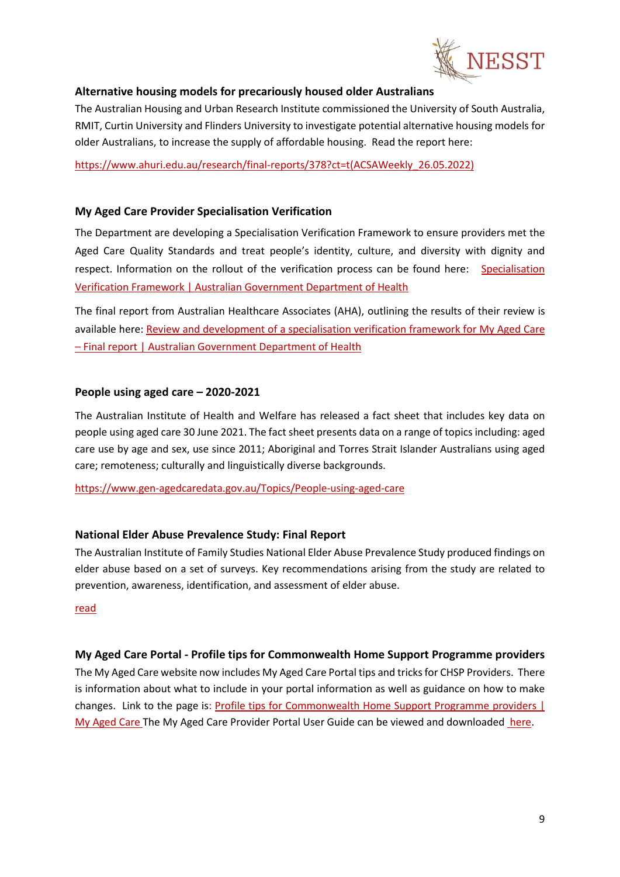

# <span id="page-8-0"></span>**Alternative housing models for precariously housed older Australians**

The Australian Housing and Urban Research Institute commissioned the University of South Australia, RMIT, Curtin University and Flinders University to investigate potential alternative housing models for older Australians, to increase the supply of affordable housing. Read the report here:

[https://www.ahuri.edu.au/research/final-reports/378?ct=t\(ACSAWeekly\\_26.05.2022\)](https://www.ahuri.edu.au/research/final-reports/378?ct=t(ACSAWeekly_26.05.2022))

# <span id="page-8-1"></span>**My Aged Care Provider Specialisation Verification**

The Department are developing a Specialisation Verification Framework to ensure providers met the Aged Care Quality Standards and treat people's identity, culture, and diversity with dignity and respect. Information on the rollout of the verification process can be found here: [Specialisation](https://www.health.gov.au/health-topics/aged-care/providing-aged-care-services/delivering-quality-aged-care-services/specialisation-verification-framework)  [Verification Framework | Australian Government Department of Health](https://www.health.gov.au/health-topics/aged-care/providing-aged-care-services/delivering-quality-aged-care-services/specialisation-verification-framework)

The final report from Australian Healthcare Associates (AHA), outlining the results of their review is available here: [Review and development of a specialisation verification framework for My Aged Care](https://www.health.gov.au/resources/publications/review-and-development-of-a-specialisation-verification-framework-for-my-aged-care-final-report)  – [Final report | Australian Government Department of Health](https://www.health.gov.au/resources/publications/review-and-development-of-a-specialisation-verification-framework-for-my-aged-care-final-report)

# <span id="page-8-2"></span>**People using aged care – 2020-2021**

The Australian Institute of Health and Welfare has released a fact sheet that includes key data on people using aged care 30 June 2021. The fact sheet presents data on a range of topics including: aged care use by age and sex, use since 2011; Aboriginal and Torres Strait Islander Australians using aged care; remoteness; culturally and linguistically diverse backgrounds.

<https://www.gen-agedcaredata.gov.au/Topics/People-using-aged-care>

# <span id="page-8-3"></span>**National Elder Abuse Prevalence Study: Final Report**

The Australian Institute of Family Studies National Elder Abuse Prevalence Study produced findings on elder abuse based on a set of surveys. Key recommendations arising from the study are related to prevention, awareness, identification, and assessment of elder abuse.

#### [read](https://aifs.gov.au/sites/default/files/publication-documents/2021_national_elder_abuse_prevalence_study_final_report.pdf)

# <span id="page-8-4"></span>**My Aged Care Portal - Profile tips for Commonwealth Home Support Programme providers**

The My Aged Care website now includes My Aged Care Portal tips and tricks for CHSP Providers. There is information about what to include in your portal information as well as guidance on how to make changes. Link to the page is: [Profile tips for Commonwealth Home Support Programme providers |](https://www.myagedcare.gov.au/service-providers/profile-tips-service-providers/profile-tips-commonwealth-home-support-programme-providers)  [My Aged Care](https://www.myagedcare.gov.au/service-providers/profile-tips-service-providers/profile-tips-commonwealth-home-support-programme-providers) The My Aged Care Provider Portal User Guide can be viewed and downloaded [here.](https://www.health.gov.au/sites/default/files/documents/2020/01/my-aged-care-provider-portal-user-guide-part-1-administrator-functions.pdf)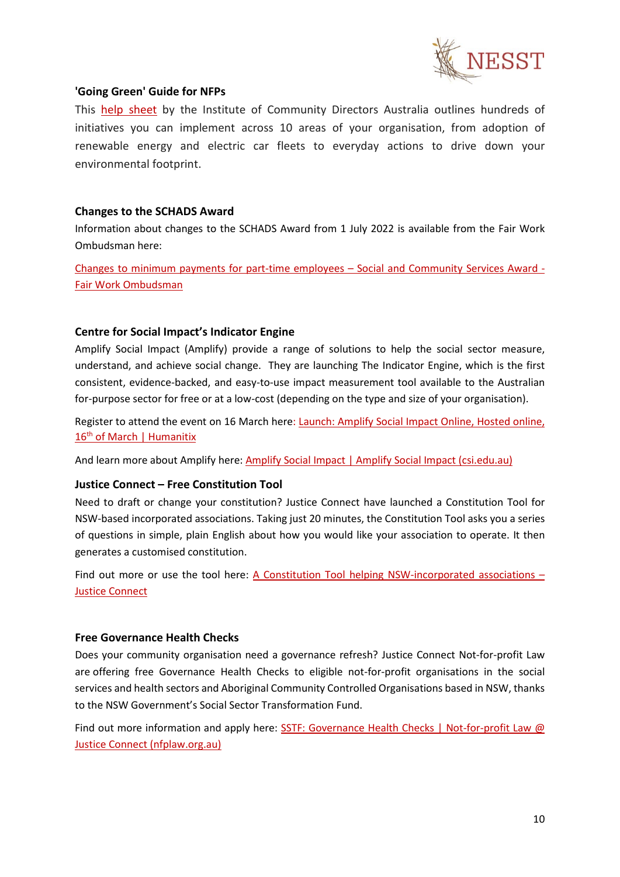

#### <span id="page-9-0"></span>**'Going Green' Guide for NFPs**

This [help sheet](https://communityconnective.us14.list-manage.com/track/click?u=1543098c088e658ca0d911add&id=e7a4757770&e=7495fde262) by the Institute of Community Directors Australia outlines hundreds of initiatives you can implement across 10 areas of your organisation, from adoption of renewable energy and electric car fleets to everyday actions to drive down your environmental footprint.

# <span id="page-9-1"></span>**Changes to the SCHADS Award**

Information about changes to the SCHADS Award from 1 July 2022 is available from the Fair Work Ombudsman here:

[Changes to minimum payments for part-time employees](https://www.fairwork.gov.au/newsroom/news/changes-minimum-payments-part-time-employees-social-and-community-services-award) – Social and Community Services Award - [Fair Work Ombudsman](https://www.fairwork.gov.au/newsroom/news/changes-minimum-payments-part-time-employees-social-and-community-services-award)

# <span id="page-9-2"></span>**Centre for Social Impact's Indicator Engine**

Amplify Social Impact (Amplify) provide a range of solutions to help the social sector measure, understand, and achieve social change. They are launching The Indicator Engine, which is the first consistent, evidence-backed, and easy-to-use impact measurement tool available to the Australian for-purpose sector for free or at a low-cost (depending on the type and size of your organisation).

Register to attend the event on 16 March here: [Launch: Amplify Social Impact Online,](https://events.humanitix.com/amplify-social-impact-online-launch) Hosted online,  $16<sup>th</sup>$  [of March | Humanitix](https://events.humanitix.com/amplify-social-impact-online-launch)

And learn more about Amplify here: [Amplify Social Impact | Amplify Social Impact \(csi.edu.au\)](https://amplify.csi.edu.au/)

# <span id="page-9-3"></span>**Justice Connect – Free Constitution Tool**

Need to draft or change your constitution? Justice Connect have launched a Constitution Tool for NSW-based incorporated associations. Taking just 20 minutes, the Constitution Tool asks you a series of questions in simple, plain English about how you would like your association to operate. It then generates a customised constitution.

Find out more or use the tool here: A Constitution Tool helping NSW-incorporated associations  $-$ [Justice Connect](https://justiceconnect.org.au/fairmatters/new-constitution-tool-helping-nsw-incorporated-associations/)

#### <span id="page-9-4"></span>**Free Governance Health Checks**

Does your community organisation need a governance refresh? Justice Connect Not-for-profit Law are offering free Governance Health Checks to eligible not-for-profit organisations in the social services and health sectors and Aboriginal Community Controlled Organisations based in NSW, thanks to the NSW Government's Social Sector Transformation Fund.

Find out more information and apply here: SSTF: Governance Health Checks | Not-for-profit Law @ [Justice Connect \(nfplaw.org.au\)](https://nfplaw.org.au/sstf-governance-health-checks)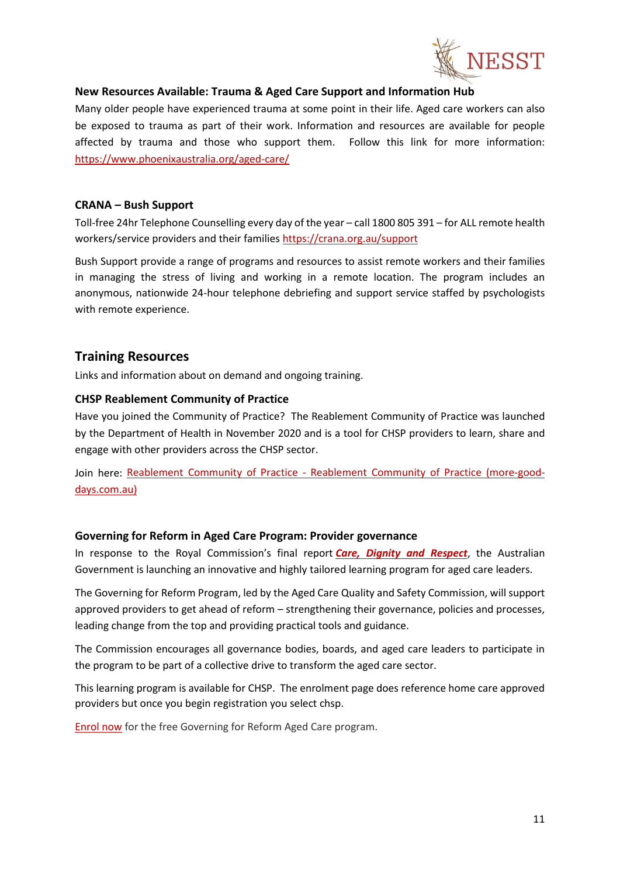

# <span id="page-10-0"></span>**New Resources Available: Trauma & Aged Care Support and Information Hub**

Many older people have experienced trauma at some point in their life. Aged care workers can also be exposed to trauma as part of their work. Information and resources are available for people affected by trauma and those who support them. Follow this link for more information: <https://www.phoenixaustralia.org/aged-care/>

#### <span id="page-10-1"></span>**CRANA – Bush Support**

Toll-free 24hr Telephone Counselling every day of the year – call 1800 805 391 – for ALL remote health workers/service providers and their families <https://crana.org.au/support>

Bush Support provide a range of programs and resources to assist remote workers and their families in managing the stress of living and working in a remote location. The program includes an anonymous, nationwide 24-hour telephone debriefing and support service staffed by psychologists with remote experience.

# <span id="page-10-2"></span>**Training Resources**

Links and information about on demand and ongoing training.

#### <span id="page-10-3"></span>**CHSP Reablement Community of Practice**

Have you joined the Community of Practice? The Reablement Community of Practice was launched by the Department of Health in November 2020 and is a tool for CHSP providers to learn, share and engage with other providers across the CHSP sector.

Join here: Reablement Community of Practice - [Reablement Community of Practice \(more-good](https://www.more-good-days.com.au/login)[days.com.au\)](https://www.more-good-days.com.au/login)

# <span id="page-10-4"></span>**Governing for Reform in Aged Care Program: Provider governance**

In response to the Royal Commission's final report *[Care, Dignity and Respect](https://agedcare.royalcommission.gov.au/sites/default/files/2021-03/final-report-volume-1.pdf)*, the Australian Government is launching an innovative and highly tailored learning program for aged care leaders.

The Governing for Reform Program, led by the Aged Care Quality and Safety Commission, will support approved providers to get ahead of reform – strengthening their governance, policies and processes, leading change from the top and providing practical tools and guidance.

The Commission encourages all governance bodies, boards, and aged care leaders to participate in the program to be part of a collective drive to transform the aged care sector.

This learning program is available for CHSP. The enrolment page does reference home care approved providers but once you begin registration you select chsp.

<span id="page-10-5"></span>[Enrol now](https://insightssurvey.kpmg.com.au/wix/5/p124442310925.aspx) for the free Governing for Reform Aged Care program.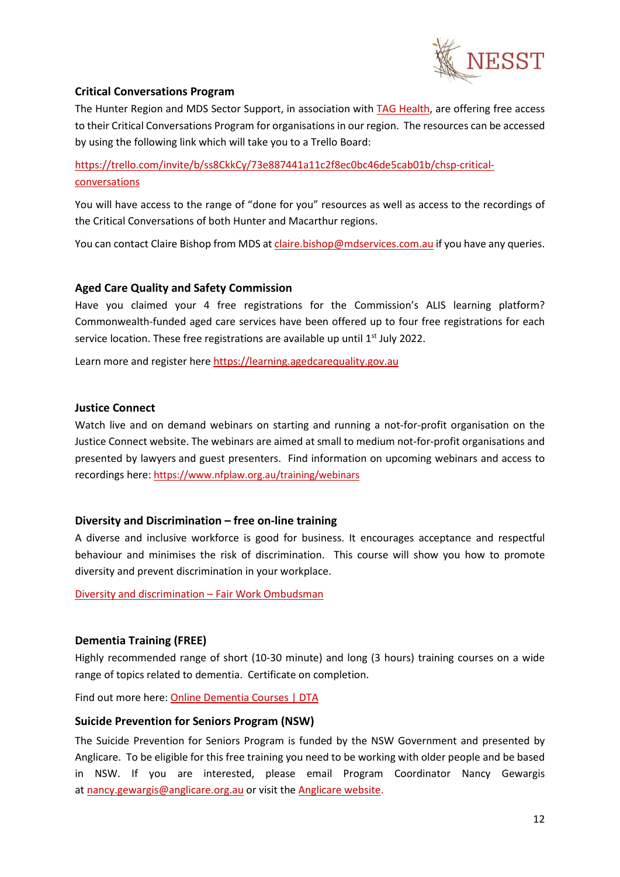

# <span id="page-11-0"></span>**Critical Conversations Program**

The Hunter Region and MDS Sector Support, in association wit[h TAG Health,](https://www.claire-edwards.com/) are offering free access to their Critical Conversations Program for organisations in our region. The resources can be accessed by using the following link which will take you to a Trello Board:

[https://trello.com/invite/b/ss8CkkCy/73e887441a11c2f8ec0bc46de5cab01b/chsp-critical](https://urldefense.proofpoint.com/v2/url?u=https-3A__trello.com_invite_b_ss8CkkCy_73e887441a11c2f8ec0bc46de5cab01b_chsp-2Dcritical-2Dconversations&d=DwMFaQ&c=euGZstcaTDllvimEN8b7jXrwqOf-v5A_CdpgnVfiiMM&r=27gQ-C9wmV4GjuBokqzYhniUMAzlOMg5caVrT-72Vl8&m=BeZRwKixd3M0B87UFQe2FxbR_AtxxvFZEjr8qZBe5t4&s=DQeX1nNNZa1DOJ8vbP7DR6uPCnQToU2OnZrykDbe4Po&e=)[conversations](https://urldefense.proofpoint.com/v2/url?u=https-3A__trello.com_invite_b_ss8CkkCy_73e887441a11c2f8ec0bc46de5cab01b_chsp-2Dcritical-2Dconversations&d=DwMFaQ&c=euGZstcaTDllvimEN8b7jXrwqOf-v5A_CdpgnVfiiMM&r=27gQ-C9wmV4GjuBokqzYhniUMAzlOMg5caVrT-72Vl8&m=BeZRwKixd3M0B87UFQe2FxbR_AtxxvFZEjr8qZBe5t4&s=DQeX1nNNZa1DOJ8vbP7DR6uPCnQToU2OnZrykDbe4Po&e=)

You will have access to the range of "done for you" resources as well as access to the recordings of the Critical Conversations of both Hunter and Macarthur regions.

You can contact Claire Bishop from MDS a[t claire.bishop@mdservices.com.au](mailto:claire.bishop@mdservices.com.au) if you have any queries.

# <span id="page-11-1"></span>**Aged Care Quality and Safety Commission**

Have you claimed your 4 free registrations for the Commission's ALIS learning platform? Commonwealth-funded aged care services have been offered up to four free registrations for each service location. These free registrations are available up until  $1<sup>st</sup>$  July 2022.

Learn more and register here [https://learning.agedcarequality.gov.au](https://learning.agedcarequality.gov.au/)

#### <span id="page-11-2"></span>**Justice Connect**

Watch live and on demand webinars on starting and running a not-for-profit organisation on the Justice Connect website. The webinars are aimed at small to medium not-for-profit organisations and presented by lawyers and guest presenters. Find information on upcoming webinars and access to recordings here[: https://www.nfplaw.org.au/training/webinars](https://www.nfplaw.org.au/training/webinars)

# <span id="page-11-3"></span>**Diversity and Discrimination – free on-line training**

A diverse and inclusive workforce is good for business. It encourages acceptance and respectful behaviour and minimises the risk of discrimination. This course will show you how to promote diversity and prevent discrimination in your workplace.

[Diversity and discrimination –](https://www.fairwork.gov.au/tools-and-resources/online-learning-centre/diversity-and-discrimination) Fair Work Ombudsman

# <span id="page-11-4"></span>**Dementia Training (FREE)**

Highly recommended range of short (10-30 minute) and long (3 hours) training courses on a wide range of topics related to dementia. Certificate on completion.

Find out more here[: Online Dementia Courses | DTA](https://dta.com.au/online-dementia-courses/)

#### <span id="page-11-5"></span>**Suicide Prevention for Seniors Program (NSW)**

The Suicide Prevention for Seniors Program is funded by the NSW Government and presented by Anglicare. To be eligible for this free training you need to be working with older people and be based in NSW. If you are interested, please email Program Coordinator Nancy Gewargis at [nancy.gewargis@anglicare.org.au](mailto:nancy.gewargis@anglicare.org.au) or visit the [Anglicare website.](https://www.anglicare.org.au/what-we-offer/mental-health/suicide-prevention-for-seniors/)